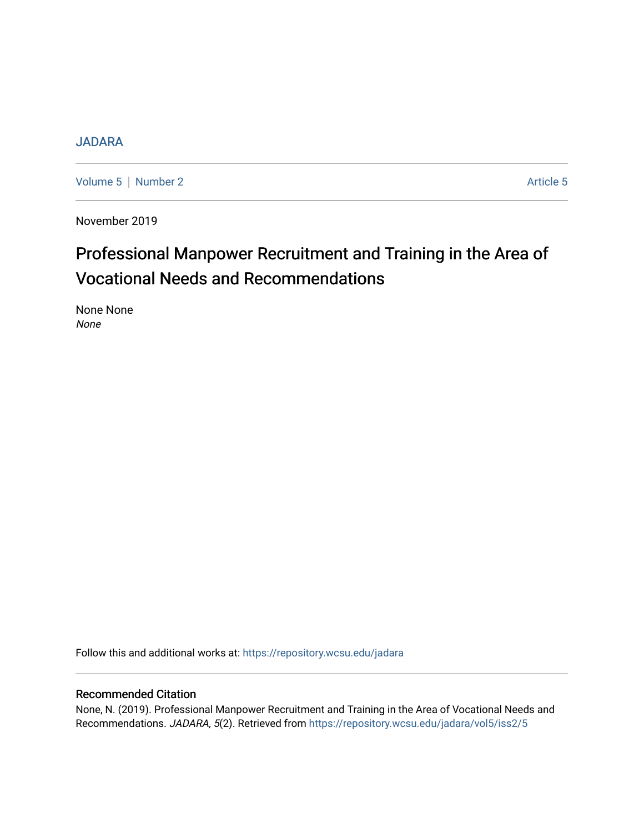# [JADARA](https://repository.wcsu.edu/jadara)

[Volume 5](https://repository.wcsu.edu/jadara/vol5) | [Number 2](https://repository.wcsu.edu/jadara/vol5/iss2) Article 5

November 2019

# Professional Manpower Recruitment and Training in the Area of Vocational Needs and Recommendations

None None None

Follow this and additional works at: [https://repository.wcsu.edu/jadara](https://repository.wcsu.edu/jadara?utm_source=repository.wcsu.edu%2Fjadara%2Fvol5%2Fiss2%2F5&utm_medium=PDF&utm_campaign=PDFCoverPages)

# Recommended Citation

None, N. (2019). Professional Manpower Recruitment and Training in the Area of Vocational Needs and Recommendations. JADARA, 5(2). Retrieved from [https://repository.wcsu.edu/jadara/vol5/iss2/5](https://repository.wcsu.edu/jadara/vol5/iss2/5?utm_source=repository.wcsu.edu%2Fjadara%2Fvol5%2Fiss2%2F5&utm_medium=PDF&utm_campaign=PDFCoverPages)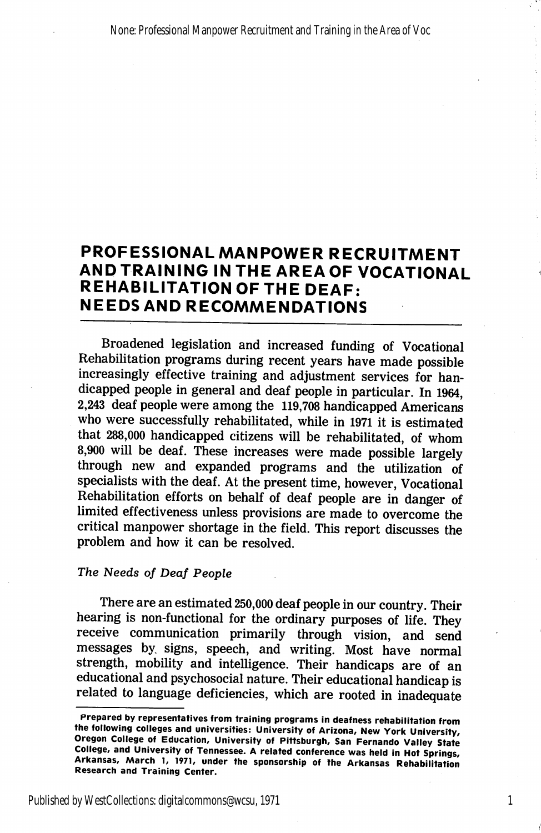# PROFESSIONAL MANPOWER RECRUITMENT ANDTRAINING IN THE AREA OF VOCATIONAL REHABILITATION OF THE DEAF: NEEDS AND RECOMMENDATIONS

Broadened legislation and increased funding of Vocational Rehabilitation programs during recent years have made possible increasingly effective training and adjustment services for han dicapped people in general and deaf people in particular. In 1964, 2,243 deaf people were among the 119,708 handicapped Americans who were successfully rehabilitated, while in 1971 it is estimated that 288,000 handicapped citizens will be rehabilitated, of whom 8,900 will be deaf. These increases were made possible largely through new and expanded programs and the utilization of specialists with the deaf. At the present time, however. Vocational Rehabilitation efforts on behalf of deaf people are in danger of limited effectiveness unless provisions are made to overcome the critical manpower shortage in the field. This report discusses the problem and how it can be resolved.

#### The Needs of Deaf People

There are an estimated 250,000 deaf people in our country. Their hearing is non-functional for the ordinary purposes of life. They receive communication primarily through vision, and send messages by signs, speech, and writing. Most have normal strength, mobility and intelligence. Their handicaps are of an educational and psychosocial nature. Their educational handicap is related to language deficiencies, which are rooted in inadequate

Published by WestCollections: digitalcommons@wcsu, 1971

Prepared by representatives from training programs in deafness rehabilitation from the following colleges and universities: University of Arizona, New York University, Oregon College of Education, University of Pittsburgh, San Fernando Valley State College, and University of Tennessee. A related conference was held in Hot Springs, Arkansas, March 1, 1971, under the sponsorship of the Arkansas Rehabilitation Research and Training Center.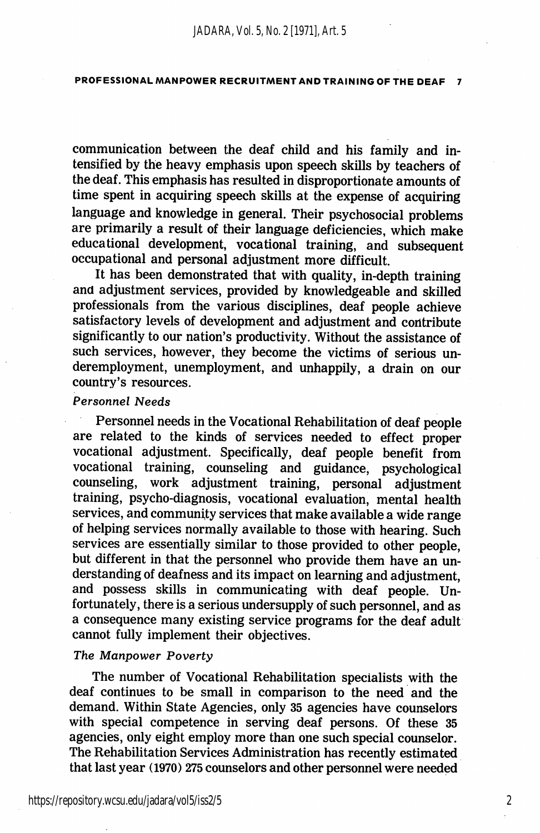communication between the deaf child and his family and in tensified by the heavy emphasis upon speech skills by teachers of the deaf. This emphasis has resulted in disproportionate amounts of time spent in acquiring speech skills at the expense of acquiring language and knowledge in general. Their psychosocial problems are primarily a result of their language deficiencies, which make educational development, vocational training, and subsequent occupational and personal adjustment more difficult.

It has been demonstrated that with quality, in-depth training and adjustment services, provided by knowledgeable and skilled professionals from the various disciplines, deaf people achieve satisfactory levels of development and adjustment and contribute significantly to our nation's productivity. Without the assistance of such services, however, they become the victims of serious un deremployment, unemployment, and unhappily, a drain on our country's resources.

#### Personnel Needs

Personnel needs in the Vocational Rehabilitation of deaf people are related to the kinds of services needed to effect proper vocational adjustment. Specifically, deaf people benefit from vocational training, counseling and guidance, psychological counseling, work adjustment training, personal adjustment training, psycho-diagnosis, vocational evaluation, mental health services, and community services that make available a wide range of helping services normally available to those with hearing. Such services are essentially similar to those provided to other people, but different in that the personnel who provide them have an understanding of deafness and its impact on learning and adjustment, and possess skills in communicating with deaf people. Un fortunately, there is a serious undersupply of such personnel, and as a consequence many existing service programs for the deaf adult cannot fully implement their objectives.

#### The Manpower Poverty

The number of Vocational Rehabilitation specialists with the deaf continues to be small in comparison to the need and the demand. Within State Agencies, only 35 agencies have counselors with special competence in serving deaf persons. Of these 35 agencies, only eight employ more than one such special counselor. The Rehabilitation Services Administration has recently estimated that last year (1970) 275 counselors and other personnel were needed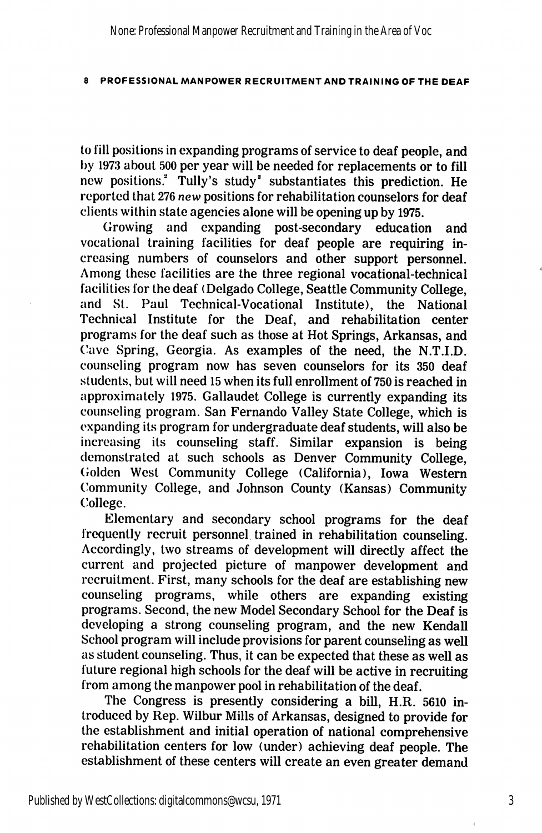to fill posilions in expanding programs of service to deaf people, and l)y 1973 about 500 per year will be needed for replacements or to fill new positions." Tully's study" substantiates this prediction. He reported that 276 new positions for rehabilitation counselors for deaf clients within state agencies alone will be opening up by 1975.

Growing and expanding post-secondary education and vocational training facilities for deaf people are requiring in creasing numbers of counselors and other support personnel. Among these facilities are the three regional vocational-technical facilities for the deaf (Delgado College, Seattle Community College, and St. Paul Technical-Vocational Institute), the National Technical Institute for the Deaf, and rehabilitation center programs for the deaf such as those at Hot Springs, Arkansas, and ('ave Spring, Georgia. As examples of the need, the N.T.I.D. counseling program now has seven counselors for its 350 deaf students, but will need 15 when its full enrollment of 750 is reached in approximately 1975. Gallaudet College is currently expanding its counseling program. San Fernando Valley State College, which is expanding its program for undergraduate deaf students, will also be increasing its counseling staff. Similar expansion is being demonstrated at such schools as Denver Community College, Golden West Community College (California), Iowa Western Community College, and Johnson County (Kansas) Community College.

Elementary and secondary school programs for the deaf frequently recruit personnel trained in rehabilitation counseling. Accordingly, two streams of development will directly affect the current and projected picture of manpower development and recruitment. First, many schools for the deaf are establishing new counseling programs, while others are expanding existing programs. Second, the new Model Secondary School for the Deaf is developing a strong counseling program, and the new Kendall School program will include provisions for parent counseling as well as student counseling. Thus, it can be expected that these as well as future regional high schools for the deaf will be active in recruiting from among the manpower pool in rehabilitation of the deaf.

The Congress is presently considering a bill, H.R. 5610 in troduced by Rep. Wilbur Mills of Arkansas, designed to provide for the establishment and initial operation of national comprehensive rehabilitation centers for low (under) achieving deaf people. The establishment of these centers will create an even greater demand

ï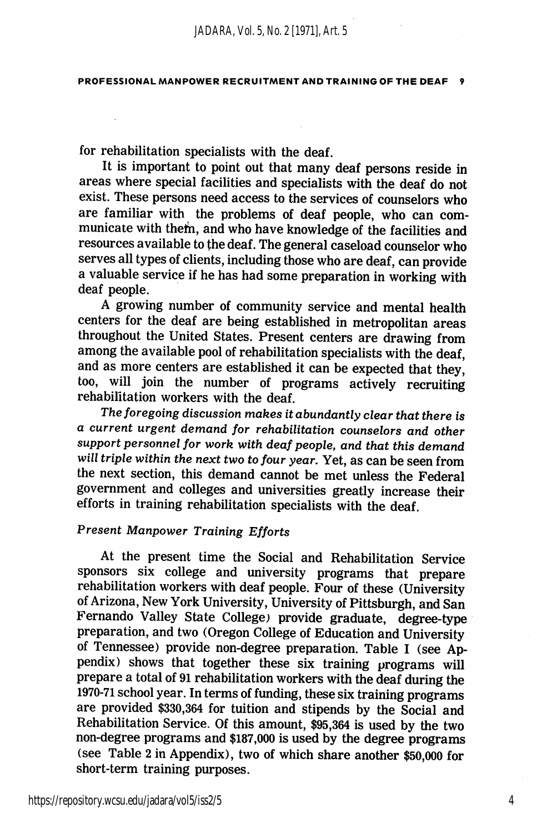for rehabilitation specialists with the deaf.

It is important to point out that many deaf persons reside in areas where special facilities and specialists with the deaf do not exist. These persons need access to the services of counselors who are familiar with the problems of deaf people, who can com municate with them, and who have knowledge of the facilities and resources available to fhe deaf. The general caseload counselor who serves all types of clients, including those who are deaf, can provide a valuable service if he has had some preparation in working with deaf people.

A growing number of community service and mental health centers for the deaf are being established in metropolitan areas throughout the United States. Present centers are drawing from among the available pool of rehabilitation specialists with the deaf, and as more centers are established it can be expected that they, too, will join the number of programs actively recruiting rehabilitation workers with the deaf.

The foregoing discussion makes it abundantly clear that there is a current urgent demand for rehabilitation counselors and other support personnel for work with deaf people, and that this demand will triple within the next two to four year. Yet, as can be seen from the next section, this demand cannot be met unless the Federal government and colleges and universities greatly increase their efforts in training rehabilitation specialists with the deaf.

## Present Manpower Training Efforts

At the present time the Social and Rehabilitation Service sponsors six college and university programs that prepare rehabilitation workers with deaf people. Four of these (University of Arizona, New York University, University of Pittsburgh, and San Fernando Valley State College) provide graduate, degree-type preparation, and two (Oregon College of Education and University of Tennessee) provide non-degree preparation. Table I (see Ap pendix) shows that together these six training programs will prepare a total of 91 rehabilitation workers with the deaf during the 1970-71 school year. In terms of funding, these six training programs are provided \$330,364 for tuition and stipends by the Social and Rehabilitation Service. Of this amount, \$95,364 is used by the two non-degree programs and \$187,000 is used by the degree programs (see Table 2 in Appendix), two of which share another \$50,000 for short-term training purposes.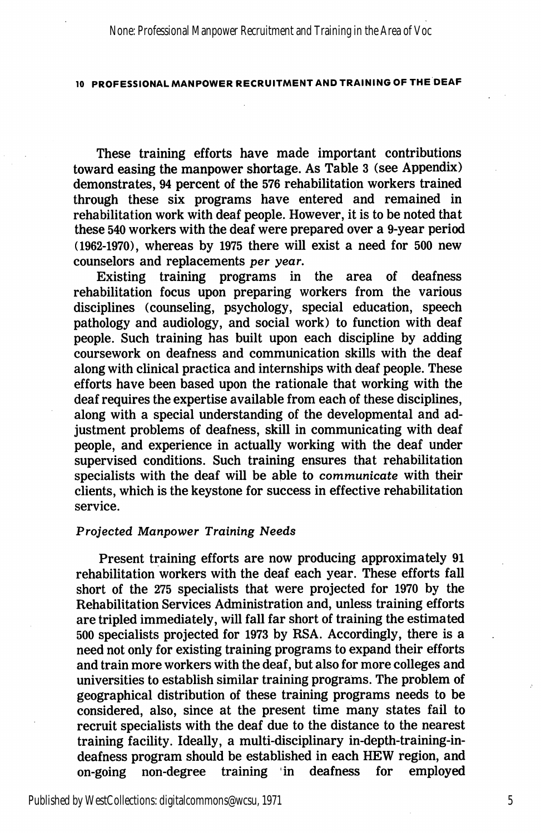None: Professional Manpower Recruitment and Training in the Area of Voc

## 10 PROFESSIONAL MANPOWER RECRUITMENT AND TRAINING OF THE DEAf=

These training efforts have made important contributions toward easing the manpower shortage. As Table 3 (see Appendix) demonstrates, 94 percent of the 576 rehabilitation workers trained through these six programs have entered and remained in rehabilitation work with deaf people. However, it is to be noted that these 540 workers with the deaf were prepared over a 9-year period (1962-1970), whereas by 1975 there will exist a need for 500 new counselors and replacements per year.

Existing training programs in the area of deafness rehabilitation focus upon preparing workers from the various disciplines (counseling, psychology, special education, speech pathology and audiology, and social work) to function with deaf people. Such training has built upon each discipline by adding coursework on deafness and communication skills with the deaf along with clinical practica and internships with deaf people. These efforts have been based upon the rationale that working with the deaf requires the expertise available from each of these disciplines, along with a special understanding of the developmental and ad justment problems of deafness, skill in communicating with deaf people, and experience in actually working with the deaf under supervised conditions. Such training ensures that rehabilitation specialists with the deaf will be able to communicate with their clients, which is the keystone for success in effective rehabilitation service.

#### Projected Manpower Training Needs

Present training efforts are now producing approximately 91 rehabilitation workers with the deaf each year. These efforts fall short of the 275 specialists that were projected for 1970 by the Rehabilitation Services Administration and, unless training efforts are tripled immediately, will fall far short of training the estimated 500 specialists projected for 1973 by RSA. Accordingly, there is a need not only for existing training programs to expand their efforts and train more workers with the deaf, but also for more colleges and universities to establish similar training programs. The problem of geographical distribution of these training programs needs to be considered, also, since at the present time many states fail to recruit specialists with the deaf due to the distance to the nearest training facility. Ideally, a multi-disciplinary in-depth-training-indeafness program should be established in each HEW region, and<br>on-going non-degree training in deafness for employed on-going non-degree training in deafness

Published by WestCollections: digitalcommons@wcsu, 1971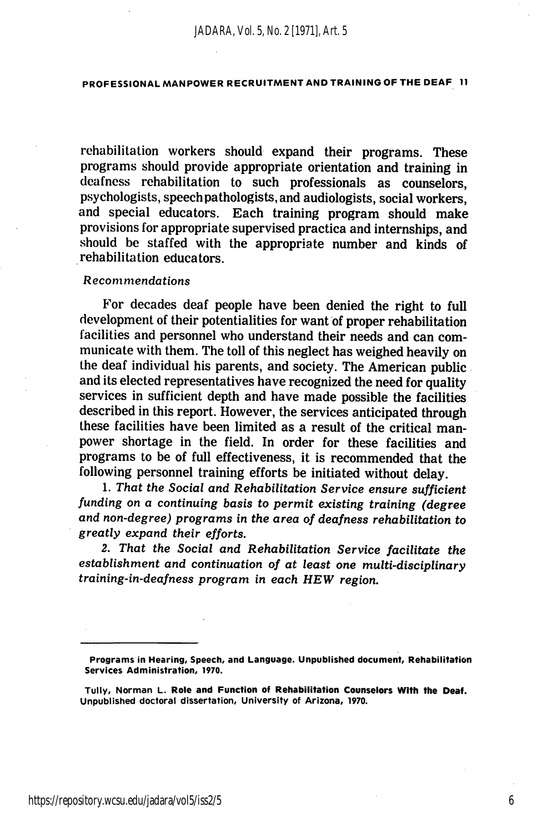rehabilitation workers should expand their programs. These programs should provide appropriate orientation and training in deafness rehabilitation to such professionals as counselors, psychologists, speech pathologists, and audiologists, social workers, and special educators. Each training program should make provisions for appropriate supervised practica and internships, and should be staffed with the appropriate number and kinds of rehabilitation educators.

#### Recommendations

For decades deaf people have been denied the right to full development of their potentialities for want of proper rehabilitation facilities and personnel who understand their needs and can com municate with them. The toll of this neglect has weighed heavily on the deaf individual his parents, and society. The American public and its elected representatives have recognized the need for quality services in sufficient depth and have made possible the facilities described in this report. However, the services anticipated through these facilities have been limited as a result of the critical man power shortage in the field. In order for these facilities and programs to be of full effectiveness, it is recommended that the following personnel training efforts be initiated without delay.

1. That the Social and Rehabilitation Service ensure sufficient funding on a continuing basis to permit existing training (degree and non-degree) programs in the area of deafness rehabilitation to greatly expand their efforts.

2. That the Social and Rehabilitation Service facilitate the establishment and continuation of at least one multi-disciplinary training-in-deafness program in each HEW region.

Programs in Hearing, Speech, and Language. Unpublished document. Rehabilitation Services Administration, 1970.

Tully, Norman L. Role and Function of Rehabilitation Counselors With the Deaf. Unpublished doctoral dissertation. University of Arizona, 1970.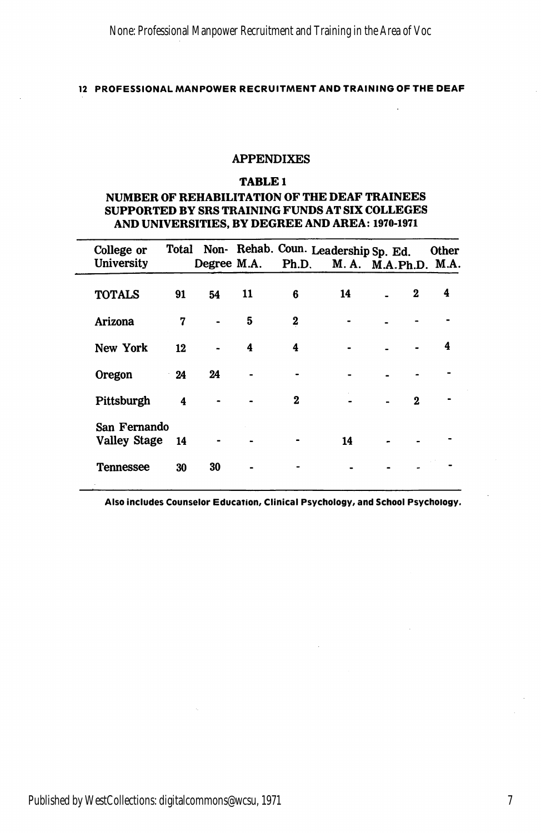#### APPENDIXES

#### TABLE 1

### NUMBER OF REHABILITATION OF THE DEAF TRAINEES SUPPORTED BY SRS TRAINING FUNDS AT SIX COLLEGES AND UNIVERSITIES, BY DEGREE AND AREA: 1970-1971

| College or<br><b>University</b>     |       |    |    | Total Non- Rehab. Coun. Leadership Sp. Ed.<br>Degree M.A. Ph.D. M.A. M.A.Ph.D. M.A. |    |              | <b>Other</b> |
|-------------------------------------|-------|----|----|-------------------------------------------------------------------------------------|----|--------------|--------------|
| <b>TOTALS</b>                       | 91    | 54 | 11 | 6                                                                                   | 14 | $\mathbf{2}$ | 4            |
| Arizona                             | 7     |    | 5  | 2                                                                                   |    |              |              |
| New York                            | 12    |    | 4  | 4                                                                                   |    |              | 4            |
| Oregon                              | $-24$ | 24 |    |                                                                                     |    |              |              |
| Pittsburgh                          | 4     |    |    | 2                                                                                   |    | $\bf{2}$     |              |
| San Fernando<br><b>Valley Stage</b> | 14    |    |    |                                                                                     | 14 |              |              |
| Tennessee                           | 30    | 30 |    |                                                                                     |    |              |              |

Also includes Counselor Education, Clinical Psychology, and School Psychology.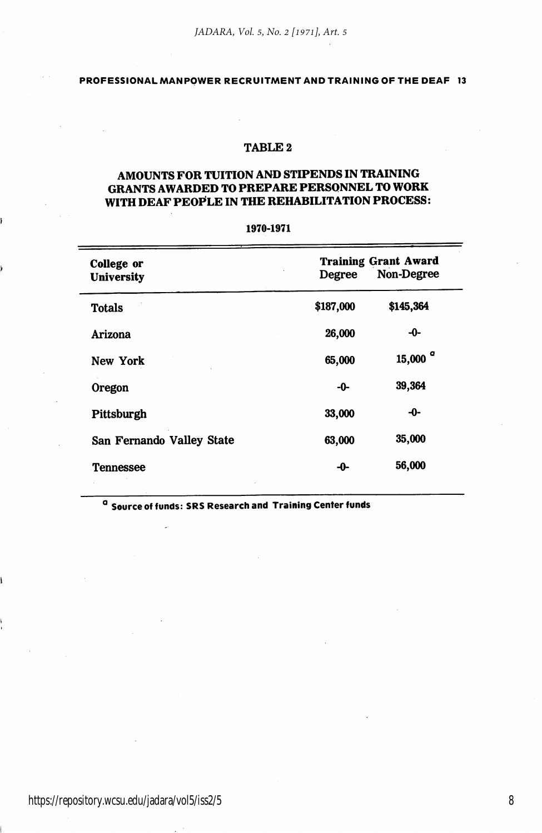# TABLE 2

## AMOUNTS FOR TUITION AND STIPENDS IN TRAINING GRANTS AWARDED TO PREPARE PERSONNEL TO WORK WITH DEAF PEOPLE IN THE REHABILITATION PROCESS:

| College or<br><b>University</b> | Degree    | <b>Training Grant Award</b><br>Non-Degree |
|---------------------------------|-----------|-------------------------------------------|
| <b>Totals</b>                   | \$187,000 | \$145,364                                 |
| Arizona                         | 26,000    | -0-                                       |
| New York                        | 65,000    | 15,000 <sup>°</sup>                       |
| Oregon                          | -0-       | 39,364                                    |
| Pittsburgh                      | 33,000    | -0-                                       |
| San Fernando Valley State       | 63,000    | 35,000                                    |
| <b>Tennessee</b>                | -0-       | 56,000                                    |
|                                 |           |                                           |

#### 1970-1971

<sup>a</sup> Source of funds: SRS Research and Training Center funds

https://repository.wcsu.edu/jadara/vol5/iss2/5